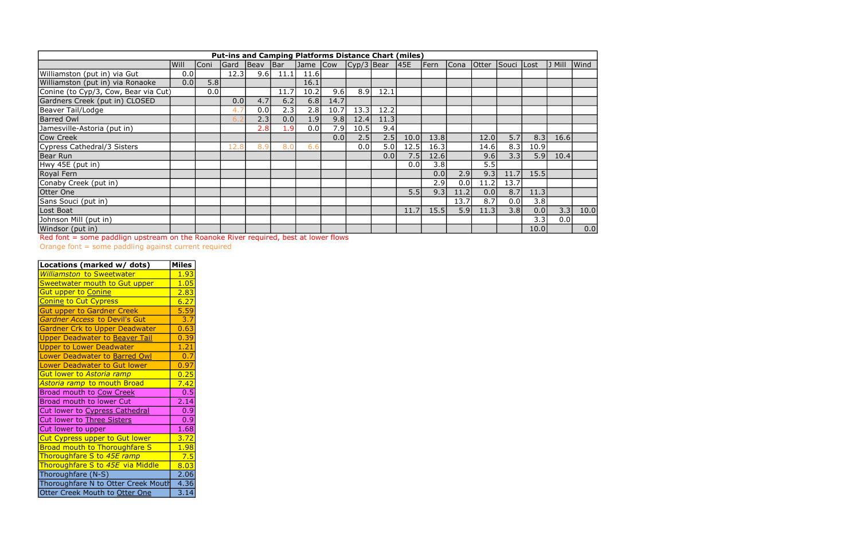Red font = some paddlign upstream on the Roanoke River required, best at lower flows

| <b>Put-ins and Camping Platforms Distance Chart (miles)</b> |      |      |             |      |       |      |      |                                               |      |      |      |      |              |            |      |         |      |
|-------------------------------------------------------------|------|------|-------------|------|-------|------|------|-----------------------------------------------|------|------|------|------|--------------|------------|------|---------|------|
|                                                             | Will | Coni | <b>Sard</b> | Beav | Bar   |      |      | $\vert$ Jame $\vert$ Cow $\vert$ Cyp/3   Bear |      | 145E | Fern | Cona | <b>Otter</b> | Souci Lost |      | JJ Mill | Wind |
| Williamston (put in) via Gut                                | 0.0  |      | 12.3        | 9.6  | 11.1  | 11.6 |      |                                               |      |      |      |      |              |            |      |         |      |
| Williamston (put in) via Ronaoke                            | 0.0  | 5.8  |             |      |       | 16.1 |      |                                               |      |      |      |      |              |            |      |         |      |
| Conine (to Cyp/3, Cow, Bear via Cut)                        |      | 0.0  |             |      | 11.7  | 10.2 | 9.6  | 8.9                                           | 12.1 |      |      |      |              |            |      |         |      |
| Gardners Creek (put in) CLOSED                              |      |      | 0.0         | 4.7  | 6.2   | 6.8  | 14.7 |                                               |      |      |      |      |              |            |      |         |      |
| Beaver Tail/Lodge                                           |      |      | 4.          | 0.0  | 2.3   | 2.8  | 10.7 | 13.3                                          | 12.2 |      |      |      |              |            |      |         |      |
| <b>Barred Owl</b>                                           |      |      | 6.3         | 2.3  | 0.0   | 1.9  | 9.8  | 12.4                                          | 11.3 |      |      |      |              |            |      |         |      |
| Jamesville-Astoria (put in)                                 |      |      |             | 2.8  | . . 9 | 0.0  | 7.9  | 10.5                                          | 9.4  |      |      |      |              |            |      |         |      |
| Cow Creek                                                   |      |      |             |      |       |      | 0.0  | 2.5                                           | 2.5  | 10.0 | 13.8 |      | 12.0         | 5.7        | 8.3  | 16.6    |      |
| Cypress Cathedral/3 Sisters                                 |      |      | 12.8        | 8.9  | 8.0   | 6.6  |      | 0.0                                           | 5.0  | 12.5 | 16.3 |      | 14.6         | 8.3        | 10.9 |         |      |
| Bear Run                                                    |      |      |             |      |       |      |      |                                               | 0.01 | 7.5  | 12.6 |      | 9.6          | 3.3        | 5.9  | 10.4    |      |
| Hwy 45E (put in)                                            |      |      |             |      |       |      |      |                                               |      | 0.0  | 3.8  |      | 5.5          |            |      |         |      |
| Royal Fern                                                  |      |      |             |      |       |      |      |                                               |      |      | 0.0  | 2.9  | 9.3          | 11.7       | 15.5 |         |      |
| Conaby Creek (put in)                                       |      |      |             |      |       |      |      |                                               |      |      | 2.9  | 0.0  | 11.2         | 13.7       |      |         |      |
| <b>Otter One</b>                                            |      |      |             |      |       |      |      |                                               |      | 5.5  | 9.3  | 11.2 | 0.0          | 8.7        | 11.3 |         |      |
| Sans Souci (put in)                                         |      |      |             |      |       |      |      |                                               |      |      |      | 13.7 | 8.7          | 0.0        | 3.8  |         |      |
| Lost Boat                                                   |      |      |             |      |       |      |      |                                               |      | 11.7 | 15.5 | 5.9  | 11.3         | 3.8        | 0.0  | 3.3     | 10.0 |
| Johnson Mill (put in)                                       |      |      |             |      |       |      |      |                                               |      |      |      |      |              |            | 3.3  | 0.0     |      |
| Windsor (put in)                                            |      |      |             |      |       |      |      |                                               |      |      |      |      |              |            | 10.0 |         | 0.0  |

Orange font = some paddling against current required

| Locations (marked w/ dots)            | <b>Miles</b> |
|---------------------------------------|--------------|
| <b>Williamston to Sweetwater</b>      | 1.93         |
| Sweetwater mouth to Gut upper         | 1.05         |
| <b>Gut upper to Conine</b>            | 2.83         |
| <b>Conine to Cut Cypress</b>          | 6.27         |
| <b>Gut upper to Gardner Creek</b>     | 5.59         |
| <b>Gardner Access to Devil's Gut</b>  | 3.7          |
| <b>Gardner Crk to Upper Deadwater</b> | 0.63         |
| <b>Upper Deadwater to Beaver Tail</b> | 0.39         |
| <b>Upper to Lower Deadwater</b>       | 1.21         |
| Lower Deadwater to Barred Owl         | 0.7          |
| <b>Lower Deadwater to Gut lower</b>   | 0.97         |
| Gut lower to Astoria ramp             | 0.25         |
| Astoria ramp to mouth Broad           | 7.42         |
| Broad mouth to Cow Creek              | 0.5          |
| Broad mouth to lower Cut              | 2.14         |
| Cut lower to Cypress Cathedral        | 0.9          |
| Cut lower to Three Sisters            | 0.9          |
| Cut lower to upper                    | 1.68         |
| <b>Cut Cypress upper to Gut lower</b> | 3.72         |
| <b>Broad mouth to Thoroughfare S</b>  | 1.98         |
| Thoroughfare S to 45E ramp            | 7.5          |
| Thoroughfare S to 45E via Middle      | 8.03         |
| Thoroughfare (N-S)                    | 2.06         |
| Thoroughfare N to Otter Creek Mouth   | 4.36         |
| Otter Creek Mouth to Otter One        | 3.14         |